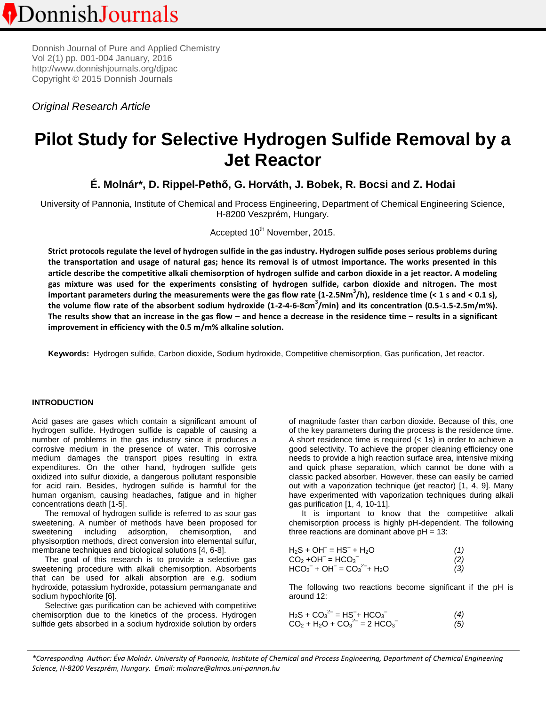Donnish Journal of Pure and Applied Chemistry Vol 2(1) pp. 001-004 January, 2016 http:/[/www.donnishjournals.org/djpac](http://www.donnishjournals.org/djar) Copyright © 2015 Donnish Journals

*Original Research Article*

# **Pilot Study for Selective Hydrogen Sulfide Removal by a Jet Reactor**

**É. Molnár\*, D. Rippel-Pethő, G. Horváth, J. Bobek, R. Bocsi and Z. Hodai**

University of Pannonia, Institute of Chemical and Process Engineering, Department of Chemical Engineering Science, H-8200 Veszprém, Hungary.

Accepted 10<sup>th</sup> November, 2015.

**Strict protocols regulate the level of hydrogen sulfide in the gas industry. Hydrogen sulfide poses serious problems during the transportation and usage of natural gas; hence its removal is of utmost importance. The works presented in this article describe the competitive alkali chemisorption of hydrogen sulfide and carbon dioxide in a jet reactor. A modeling gas mixture was used for the experiments consisting of hydrogen sulfide, carbon dioxide and nitrogen. The most important parameters during the measurements were the gas flow rate (1-2.5Nm<sup>3</sup> /h), residence time (< 1 s and < 0.1 s), the volume flow rate of the absorbent sodium hydroxide (1-2-4-6-8cm<sup>3</sup> /min) and its concentration (0.5-1.5-2.5m/m%). The results show that an increase in the gas flow – and hence a decrease in the residence time – results in a significant improvement in efficiency with the 0.5 m/m% alkaline solution.**

**Keywords:** Hydrogen sulfide, Carbon dioxide, Sodium hydroxide, Competitive chemisorption, Gas purification, Jet reactor.

# **INTRODUCTION**

Acid gases are gases which contain a significant amount of hydrogen sulfide. Hydrogen sulfide is capable of causing a number of problems in the gas industry since it produces a corrosive medium in the presence of water. This corrosive medium damages the transport pipes resulting in extra expenditures. On the other hand, hydrogen sulfide gets oxidized into sulfur dioxide, a dangerous pollutant responsible for acid rain. Besides, hydrogen sulfide is harmful for the human organism, causing headaches, fatigue and in higher concentrations death [1-5].

The removal of hydrogen sulfide is referred to as sour gas sweetening. A number of methods have been proposed for sweetening including adsorption, chemisorption, and physisorption methods, direct conversion into elemental sulfur, membrane techniques and biological solutions [4, 6-8].

The goal of this research is to provide a selective gas sweetening procedure with alkali chemisorption. Absorbents that can be used for alkali absorption are e.g. sodium hydroxide, potassium hydroxide, potassium permanganate and sodium hypochlorite [6].

Selective gas purification can be achieved with competitive chemisorption due to the kinetics of the process. Hydrogen sulfide gets absorbed in a sodium hydroxide solution by orders of magnitude faster than carbon dioxide. Because of this, one of the key parameters during the process is the residence time. A short residence time is required (< 1s) in order to achieve a good selectivity. To achieve the proper cleaning efficiency one needs to provide a high reaction surface area, intensive mixing and quick phase separation, which cannot be done with a classic packed absorber. However, these can easily be carried out with a vaporization technique (jet reactor) [1, 4, 9]. Many have experimented with vaporization techniques during alkali gas purification [1, 4, 10-11].

It is important to know that the competitive alkali chemisorption process is highly pH-dependent. The following three reactions are dominant above  $pH = 13$ :

| $H_2S + OH^- = HS^- + H_2O$                                             | (1) |
|-------------------------------------------------------------------------|-----|
| $CO2 + OH- = HCO3-$                                                     | (2) |
| $HCO_3^-$ + OH <sup>-</sup> = $CO_3^2$ <sup>2-</sup> + H <sub>2</sub> O | (3) |

The following two reactions become significant if the pH is around 12:

| $H_2S + CO_3^{2-} = HS^- + HCO_3^-$ | (4) |
|-------------------------------------|-----|
| $CO2 + H2O + CO32- = 2 HCO3-$       | (5) |

*\*Corresponding Author: Éva Molnár. University of Pannonia, Institute of Chemical and Process Engineering, Department of Chemical Engineering Science, H-8200 Veszprém, Hungary. Email: molnare@almos.uni-pannon.hu*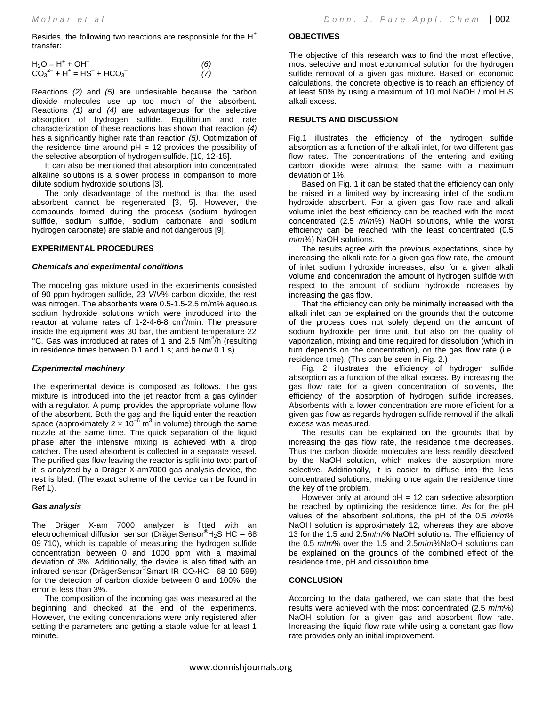Besides, the following two reactions are responsible for the  $H<sup>+</sup>$ transfer:

$$
H2O = H+ + OH- (6)CO32- + H+ = HS- + HCO3- (7)
$$

Reactions *(2)* and *(5)* are undesirable because the carbon dioxide molecules use up too much of the absorbent. Reactions *(1)* and *(4)* are advantageous for the selective absorption of hydrogen sulfide. Equilibrium and rate characterization of these reactions has shown that reaction *(4)* has a significantly higher rate than reaction *(5)*. Optimization of the residence time around  $pH = 12$  provides the possibility of the selective absorption of hydrogen sulfide. [10, 12-15].

It can also be mentioned that absorption into concentrated alkaline solutions is a slower process in comparison to more dilute sodium hydroxide solutions [3].

The only disadvantage of the method is that the used absorbent cannot be regenerated [3, 5]. However, the compounds formed during the process (sodium hydrogen sulfide, sodium sulfide, sodium carbonate and sodium hydrogen carbonate) are stable and not dangerous [9].

## **EXPERIMENTAL PROCEDURES**

## *Chemicals and experimental conditions*

The modeling gas mixture used in the experiments consisted of 90 ppm hydrogen sulfide, 23 *V*/*V*% carbon dioxide, the rest was nitrogen. The absorbents were 0.5-1.5-2.5 m/m% aqueous sodium hydroxide solutions which were introduced into the reactor at volume rates of 1-2-4-6-8  $cm<sup>3</sup>/min$ . The pressure inside the equipment was 30 bar, the ambient temperature 22 °C. Gas was introduced at rates of 1 and 2.5 Nm<sup>3</sup>/h (resulting in residence times between 0.1 and 1 s; and below 0.1 s).

# *Experimental machinery*

The experimental device is composed as follows. The gas mixture is introduced into the jet reactor from a gas cylinder with a regulator. A pump provides the appropriate volume flow of the absorbent. Both the gas and the liquid enter the reaction space (approximately 2  $\times$  10<sup>-6</sup> m<sup>3</sup> in volume) through the same nozzle at the same time. The quick separation of the liquid phase after the intensive mixing is achieved with a drop catcher. The used absorbent is collected in a separate vessel. The purified gas flow leaving the reactor is split into two: part of it is analyzed by a Dräger X-am7000 gas analysis device, the rest is bled. (The exact scheme of the device can be found in Ref 1).

#### *Gas analysis*

The Dräger X-am 7000 analyzer is fitted with an electrochemical diffusion sensor (DrägerSensor®H2S HC – 68 09 710), which is capable of measuring the hydrogen sulfide concentration between 0 and 1000 ppm with a maximal deviation of 3%. Additionally, the device is also fitted with an infrared sensor (DrägerSensor® Smart IR CO2HC –68 10 599) for the detection of carbon dioxide between 0 and 100%, the error is less than 3%.

The composition of the incoming gas was measured at the beginning and checked at the end of the experiments. However, the exiting concentrations were only registered after setting the parameters and getting a stable value for at least 1 minute.

## **OBJECTIVES**

The objective of this research was to find the most effective, most selective and most economical solution for the hydrogen sulfide removal of a given gas mixture. Based on economic calculations, the concrete objective is to reach an efficiency of at least 50% by using a maximum of 10 mol NaOH / mol  $H_2S$ alkali excess.

### **RESULTS AND DISCUSSION**

Fig.1 illustrates the efficiency of the hydrogen sulfide absorption as a function of the alkali inlet, for two different gas flow rates. The concentrations of the entering and exiting carbon dioxide were almost the same with a maximum deviation of 1%.

Based on Fig. 1 it can be stated that the efficiency can only be raised in a limited way by increasing inlet of the sodium hydroxide absorbent. For a given gas flow rate and alkali volume inlet the best efficiency can be reached with the most concentrated (2.5 *m*/*m*%) NaOH solutions, while the worst efficiency can be reached with the least concentrated (0.5 *m*/*m*%) NaOH solutions.

The results agree with the previous expectations, since by increasing the alkali rate for a given gas flow rate, the amount of inlet sodium hydroxide increases; also for a given alkali volume and concentration the amount of hydrogen sulfide with respect to the amount of sodium hydroxide increases by increasing the gas flow.

That the efficiency can only be minimally increased with the alkali inlet can be explained on the grounds that the outcome of the process does not solely depend on the amount of sodium hydroxide per time unit, but also on the quality of vaporization, mixing and time required for dissolution (which in turn depends on the concentration), on the gas flow rate (i.e. residence time). (This can be seen in Fig. 2.)

Fig. 2 illustrates the efficiency of hydrogen sulfide absorption as a function of the alkali excess. By increasing the gas flow rate for a given concentration of solvents, the efficiency of the absorption of hydrogen sulfide increases. Absorbents with a lower concentration are more efficient for a given gas flow as regards hydrogen sulfide removal if the alkali excess was measured.

The results can be explained on the grounds that by increasing the gas flow rate, the residence time decreases. Thus the carbon dioxide molecules are less readily dissolved by the NaOH solution, which makes the absorption more selective. Additionally, it is easier to diffuse into the less concentrated solutions, making once again the residence time the key of the problem.

However only at around  $pH = 12$  can selective absorption be reached by optimizing the residence time. As for the pH values of the absorbent solutions, the pH of the 0.5 *m*/*m*% NaOH solution is approximately 12, whereas they are above 13 for the 1.5 and 2.5*m*/*m*% NaOH solutions. The efficiency of the 0.5 *m*/*m*% over the 1.5 and 2.5*m*/*m*%NaOH solutions can be explained on the grounds of the combined effect of the residence time, pH and dissolution time.

# **CONCLUSION**

According to the data gathered, we can state that the best results were achieved with the most concentrated (2.5 *m*/*m*%) NaOH solution for a given gas and absorbent flow rate. Increasing the liquid flow rate while using a constant gas flow rate provides only an initial improvement.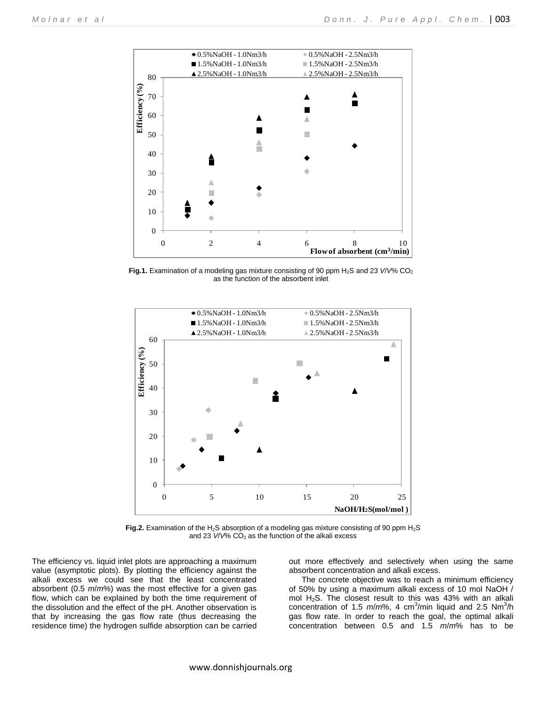

**Fig.1.** Examination of a modeling gas mixture consisting of 90 ppm  $H_2S$  and 23 *V/V*% CO<sub>2</sub> as the function of the absorbent inlet



Fig.2. Examination of the H<sub>2</sub>S absorption of a modeling gas mixture consisting of 90 ppm H<sub>2</sub>S and 23  $V/V\%$  CO<sub>2</sub> as the function of the alkali excess

The efficiency vs. liquid inlet plots are approaching a maximum value (asymptotic plots). By plotting the efficiency against the alkali excess we could see that the least concentrated absorbent (0.5 *m*/*m*%) was the most effective for a given gas flow, which can be explained by both the time requirement of the dissolution and the effect of the pH. Another observation is that by increasing the gas flow rate (thus decreasing the residence time) the hydrogen sulfide absorption can be carried out more effectively and selectively when using the same absorbent concentration and alkali excess.

The concrete objective was to reach a minimum efficiency of 50% by using a maximum alkali excess of 10 mol NaOH / mol  $H_2S$ . The closest result to this was 43% with an alkali concentration of 1.5 m/m%, 4 cm<sup>3</sup>/min liquid and 2.5 Nm<sup>3</sup>/h gas flow rate. In order to reach the goal, the optimal alkali concentration between 0.5 and 1.5 *m*/*m*% has to be